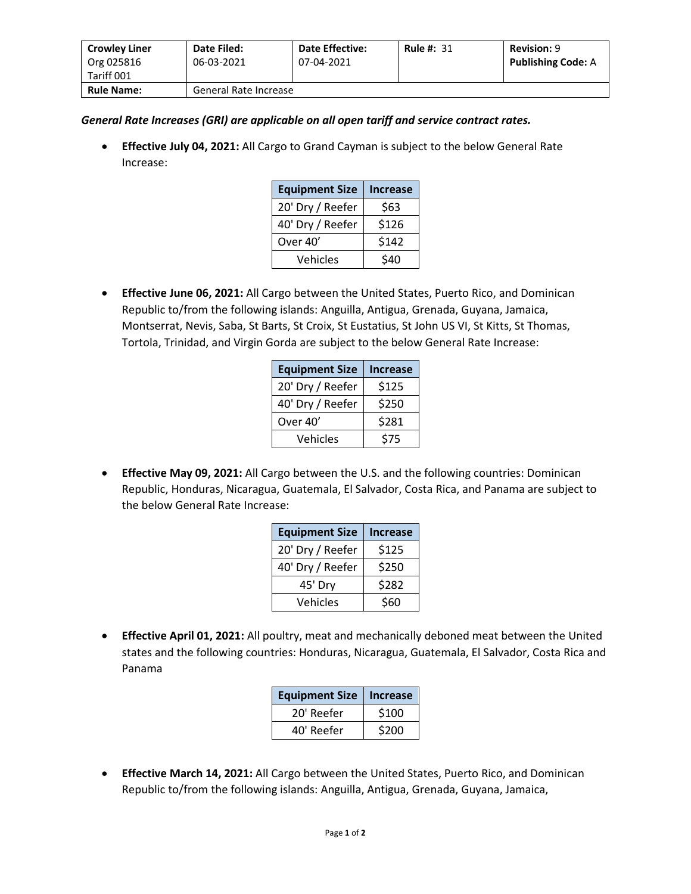| <b>Crowley Liner</b><br>Org 025816 | Date Filed:<br>06-03-2021 | <b>Date Effective:</b><br>07-04-2021 | <b>Rule #: 31</b> | <b>Revision: 9</b><br><b>Publishing Code: A</b> |
|------------------------------------|---------------------------|--------------------------------------|-------------------|-------------------------------------------------|
| Tariff 001                         |                           |                                      |                   |                                                 |
| <b>Rule Name:</b>                  | General Rate Increase     |                                      |                   |                                                 |

*General Rate Increases (GRI) are applicable on all open tariff and service contract rates.*

• **Effective July 04, 2021:** All Cargo to Grand Cayman is subject to the below General Rate Increase:

| <b>Equipment Size</b> | <b>Increase</b> |
|-----------------------|-----------------|
| 20' Dry / Reefer      | \$63            |
| 40' Dry / Reefer      | \$126           |
| Over 40'              | \$142           |
| Vehicles              | \$40            |

• **Effective June 06, 2021:** All Cargo between the United States, Puerto Rico, and Dominican Republic to/from the following islands: Anguilla, Antigua, Grenada, Guyana, Jamaica, Montserrat, Nevis, Saba, St Barts, St Croix, St Eustatius, St John US VI, St Kitts, St Thomas, Tortola, Trinidad, and Virgin Gorda are subject to the below General Rate Increase:

| <b>Equipment Size</b> | <b>Increase</b> |
|-----------------------|-----------------|
| 20' Dry / Reefer      | \$125           |
| 40' Dry / Reefer      | \$250           |
| Over 40'              | \$281           |
| Vehicles              | \$75            |

• **Effective May 09, 2021:** All Cargo between the U.S. and the following countries: Dominican Republic, Honduras, Nicaragua, Guatemala, El Salvador, Costa Rica, and Panama are subject to the below General Rate Increase:

| <b>Equipment Size</b> | <b>Increase</b> |
|-----------------------|-----------------|
| 20' Dry / Reefer      | \$125           |
| 40' Dry / Reefer      | \$250           |
| 45' Dry               | \$282           |
| Vehicles              | \$60            |

• **Effective April 01, 2021:** All poultry, meat and mechanically deboned meat between the United states and the following countries: Honduras, Nicaragua, Guatemala, El Salvador, Costa Rica and Panama

| <b>Equipment Size</b> | <b>Increase</b> |
|-----------------------|-----------------|
| 20' Reefer            | \$100           |
| 40' Reefer            | \$200           |

• **Effective March 14, 2021:** All Cargo between the United States, Puerto Rico, and Dominican Republic to/from the following islands: Anguilla, Antigua, Grenada, Guyana, Jamaica,